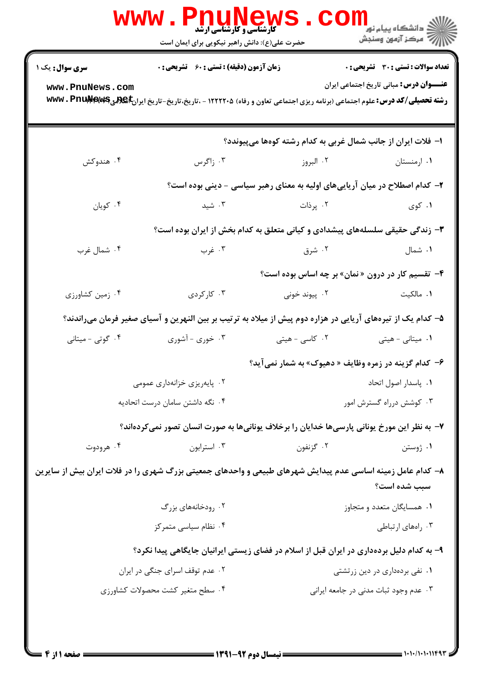| <b>سری سوال :</b> یک ۱                                                                                     | <b>زمان آزمون (دقیقه) : تستی : 60 ٪ تشریحی : 0</b>           |                                                                                                                                      | <b>تعداد سوالات : تستی : 30 ٪ تشریحی : 0</b>    |  |
|------------------------------------------------------------------------------------------------------------|--------------------------------------------------------------|--------------------------------------------------------------------------------------------------------------------------------------|-------------------------------------------------|--|
| www.PnuNews.com                                                                                            |                                                              | <b>رشته تحصیلی/کد درس:</b> علوم اجتماعی (برنامه ریزی اجتماعی تعاون و رفاه) ۱۲۲۲۲۰۵ - ،تاریخ-تاریخ-تاریخ ایران <b>E @هیWw . PnuMe</b> | <b>عنــــوان درس:</b> مبانی تاریخ اجتماعی ایران |  |
|                                                                                                            | ا– فلات ایران از جانب شمال غربی به کدام رشته کوهها میپیوندد؟ |                                                                                                                                      |                                                 |  |
| ۰۴ هندوکش                                                                                                  | ۰۳ زاگرس                                                     | ۰۲ البروز                                                                                                                            | ۰۱ ارمنستان                                     |  |
|                                                                                                            |                                                              | ۲- کدام اصطلاح در میان آریاییهای اولیه به معنای رهبر سیاسی - دینی بوده است؟                                                          |                                                 |  |
| ۰۴ کويان                                                                                                   | ۰۳ شید                                                       | ۰۲ پرذات                                                                                                                             | ۰۱ کوي                                          |  |
| ۳- زندگی حقیقی سلسلههای پیشدادی و کیانی متعلق به کدام بخش از ایران بوده است؟                               |                                                              |                                                                                                                                      |                                                 |  |
| ۰۴ شمال غرب                                                                                                | ۰۳ غرب                                                       | ۰۲ شرق مشرق                                                                                                                          | ۰۱ شمال                                         |  |
|                                                                                                            |                                                              | ۴- تقسیم کار در درون «نمان» بر چه اساس بوده است؟                                                                                     |                                                 |  |
| ۰۴ زمین کشاورزی                                                                                            | ۰۳ کارکردی                                                   | ۰۲ پیوند خونی                                                                                                                        | ۰۱ مالکیت                                       |  |
|                                                                                                            |                                                              | ۵– کدام یک از تیرههای آریایی در هزاره دوم پیش از میلاد به ترتیب بر بین النهرین و آسیای صغیر فرمان میراندند؟                          |                                                 |  |
| ۰۴ گوتی - میتانی                                                                                           | ۰۳ خوری - آشوری                                              | ۰۲ کاسی - هیتی                                                                                                                       | ۰۱ میتانی - هیتی                                |  |
|                                                                                                            |                                                              | ۶– کدام گزینه در زمره وظایف « دهیوک» به شمار نمی آید؟                                                                                |                                                 |  |
|                                                                                                            | ۰۲ پایهریزی خزانهداری عمومی                                  |                                                                                                                                      | ٠١. پاسدار اصول اتحاد                           |  |
|                                                                                                            | ۰۴ نگه داشتن سامان درست اتحادیه                              | ۰۳ کوشش درراه گسترش امور                                                                                                             |                                                 |  |
|                                                                                                            |                                                              | ۷– به نظر این مورخ یونانی پارسیها خدایان را برخلاف یونانیها به صورت انسان تصور نمیکردهاند؟                                           |                                                 |  |
| ۰۴ هرودوت                                                                                                  | ۰۳ استرابون                                                  | ۰۲ گزنفون                                                                                                                            | ۰۱ ژوستن                                        |  |
| ۸– کدام عامل زمینه اساسی عدم پیدایش شهرهای طبیعی و واحدهای جمعیتی بزرگ شهری را در فلات ایران بیش از سایرین |                                                              |                                                                                                                                      | سبب شده است؟                                    |  |
|                                                                                                            | ۰۲ رودخانههای بزرگ                                           | ۰۱ همسایگان متعدد و متجاوز                                                                                                           |                                                 |  |
|                                                                                                            | ۰۴ نظام سیاسی متمرکز                                         |                                                                                                                                      | ۰۳ راههای ارتباطی                               |  |
|                                                                                                            |                                                              | ۹- به کدام دلیل بردهداری در ایران قبل از اسلام در فضای زیستی ایرانیان جایگاهی پیدا نکرد؟                                             |                                                 |  |
| ۰۲ عدم توقف اسرای جنگی در ایران                                                                            |                                                              | ۰۱ نفی بردهداری در دین زرتشتی                                                                                                        |                                                 |  |
| ۰۴ سطح متغیر کشت محصولات کشاورزی                                                                           |                                                              | ۰۳ عدم وجود ثبات مدنی در جامعه ایرانی                                                                                                |                                                 |  |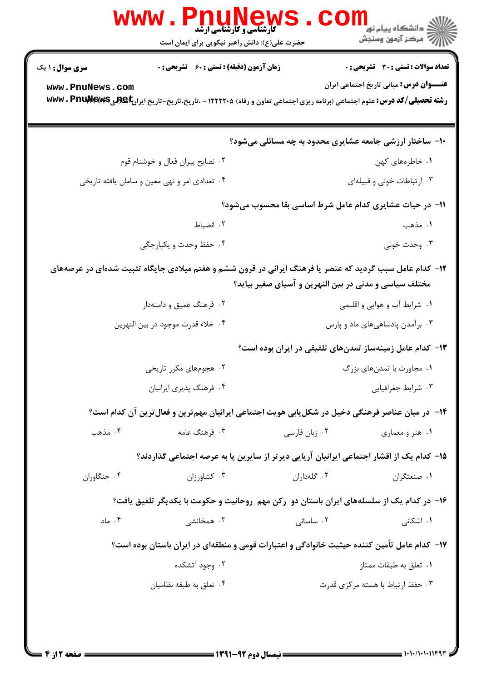|                        | WWW<br><b>FIIUNEW</b><br><b>گارشناسی و کارشناسی ارشد</b><br>حضرت علی(ع): دانش راهبر نیکویی برای ایمان است                            |                                                       | ر دانشڪاه پيام نور ■<br>ا∛ مرکز آزمون وسنڊش              |  |
|------------------------|--------------------------------------------------------------------------------------------------------------------------------------|-------------------------------------------------------|----------------------------------------------------------|--|
| <b>سری سوال : ۱ یک</b> | <b>زمان آزمون (دقیقه) : تستی : 60 ٪ تشریحی : 0</b>                                                                                   |                                                       | <b>تعداد سوالات : تستی : 30 ٪ تشریحی : 0</b>             |  |
| www.PnuNews.com        | <b>رشته تحصیلی/کد درس:</b> علوم اجتماعی (برنامه ریزی اجتماعی تعاون و رفاه) ۱۲۲۲۲۰۵ - ،تاریخ،تاریخ-تاریخ ایران <b>E @هیWw . PnuMe</b> |                                                       | <b>عنـــوان درس:</b> مبانی تاریخ اجتماعی ایران           |  |
|                        |                                                                                                                                      |                                                       | ۱۰- ساختار ارزشی جامعه عشایری محدود به چه مسائلی میشود؟  |  |
|                        | ۰۲ نصایح پیران فعال و خوشنام قوم                                                                                                     |                                                       | ۰۱ خاطرههای کهن                                          |  |
|                        | ۰۴ تعدادي امر و نهي معين و سامان يافته تاريخي                                                                                        |                                                       | ۰۳ ارتباطات خونی و قبیلهای                               |  |
|                        |                                                                                                                                      |                                                       | 11- در حیات عشایری کدام عامل شرط اساسی بقا محسوب میشود؟  |  |
|                        | ٠٢ انضباط                                                                                                                            |                                                       | ۱. مذهب                                                  |  |
|                        | ۰۴ حفظ وحدت و یکپارچگی                                                                                                               |                                                       | ۰۳ وحدت خونی                                             |  |
|                        | ۱۲- کدام عامل سبب گردید که عنصر یا فرهنگ ایرانی در قرون ششم و هفتم میلادی جایگاه تثبیت شدهای در عرصههای                              | مختلف سیاسی و مدنی در بین النهرین و آسیای صغیر بیاید؟ |                                                          |  |
|                        | ۰۲ فرهنگ عمیق و دامنهدار                                                                                                             | ۰۱ شرایط آب و هوایی و اقلیمی                          |                                                          |  |
|                        | ۰۴ خلاء قدرت موجود در بين النهرين                                                                                                    | ۰۳ برآمدن پادشاهیهای ماد و پارس                       |                                                          |  |
|                        |                                                                                                                                      |                                                       | ۱۳– کدام عامل زمینهساز تمدنهای تلفیقی در ایران بوده است؟ |  |
|                        | ۰۲ هجومهای مکرر تاریخی                                                                                                               |                                                       | ۰۱ مجاورت با تمدنهای بزرگ                                |  |
|                        | ۰۴ فرهنگ پذیری ایرانیان                                                                                                              |                                                       | ۰۳ شرایط جغرافیایی                                       |  |
|                        | ۱۴– در میان عناصر فرهنگی دخیل در شکل بابی هویت اجتماعی ایرانیان مهم ترین و فعال ترین آن کدام است؟                                    |                                                       |                                                          |  |
| ۰۴ مذهب                | ۰۳ فرهنگ عامه                                                                                                                        | ۰۲ زبان فارسی                                         | ۰۱ هنر و معماری                                          |  |
|                        | ۱۵– کدام یک از اقشار اجتماعی ایرانیان آریایی دیرتر از سایرین پا به عرصه اجتماعی گذاردند؟                                             |                                                       |                                                          |  |
| ۰۴ جنگاوران            | $\cdot$ 7. كشاورزان                                                                                                                  | ۰۲ گلهدا, ان                                          | ۰۱ صنعتگران                                              |  |
|                        | ۱۶– در کدام یک از سلسلههای ایران باستان دو رکن مهم روحانیت و حکومت با یکدیگر تلفیق یافت؟                                             |                                                       |                                                          |  |
| ۰۴ ماد                 | ۰۳ همخانشی                                                                                                                           | ۰۲ ساسانی                                             | ۰۱ اشکانی                                                |  |
|                        | ۱۷– کدام عامل تأمین کننده حیثیت خانوادگی و اعتبارات قومی و منطقهای در ایران باستان بوده است؟                                         |                                                       |                                                          |  |
|                        | ۰۲ وجود آتشکده                                                                                                                       |                                                       | ۰۱ تعلق به طبقات ممتاز                                   |  |
|                        | ۰۴ تعلق به طبقه نظامیان                                                                                                              |                                                       | ۰۳ حفظ ارتباط با هسته مرکزی قدرت                         |  |
|                        |                                                                                                                                      |                                                       |                                                          |  |
|                        |                                                                                                                                      |                                                       |                                                          |  |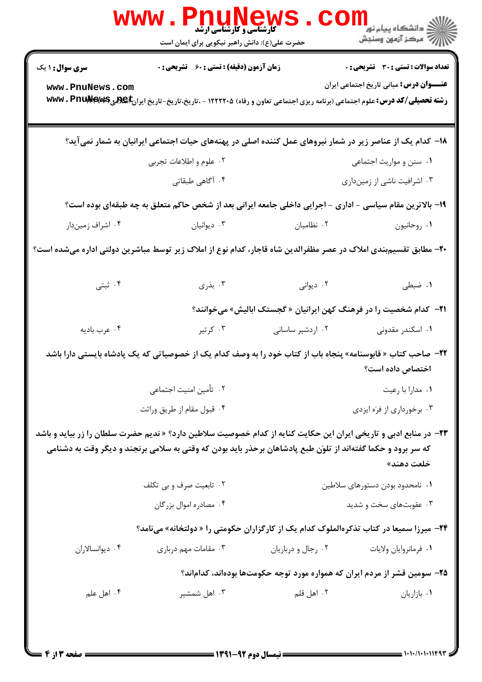|                                                                                                                 | www.PnuNews<br>حضرت علی(ع): دانش راهبر نیکویی برای ایمان است                                                                                                                                                                              |                                                                           | الانگر دانشگاه پيام نور دا<br>۱۳۸۶ مرکز آزمون وسنجش |  |
|-----------------------------------------------------------------------------------------------------------------|-------------------------------------------------------------------------------------------------------------------------------------------------------------------------------------------------------------------------------------------|---------------------------------------------------------------------------|-----------------------------------------------------|--|
| <b>سری سوال : ۱ یک</b>                                                                                          | <b>زمان آزمون (دقیقه) : تستی : 60 ٪ تشریحی : 0</b>                                                                                                                                                                                        |                                                                           | <b>تعداد سوالات : تستي : 30 ٪ تشريحي : 0</b>        |  |
| www.PnuNews.com                                                                                                 | <b>رشته تحصیلی/کد درس:</b> علوم اجتماعی (برنامه ریزی اجتماعی تعاون و رفاه) ۱۲۲۲۲۰۵ - ،تاریخ-تاریخ-تاریخ ایران <b>E @R بیWw . PnuMex ب</b>                                                                                                 |                                                                           | <b>عنـــوان درس:</b> مبانی تاریخ اجتماعی ایران      |  |
|                                                                                                                 | ۱۸– کدام یک از عناصر زیر در شمار نیروهای عمل کننده اصلی در پهنههای حیات اجتماعی ایرانیان به شمار نمیآید؟                                                                                                                                  |                                                                           |                                                     |  |
|                                                                                                                 | ۰۲ علوم و اطلاعات تجربي                                                                                                                                                                                                                   |                                                                           | ٠١ سنن و مواريث اجتماعي                             |  |
|                                                                                                                 | ۰۴ آگاهی طبقاتی                                                                                                                                                                                                                           |                                                                           | ۰۳ اشرافیت ناشی از زمینداری                         |  |
|                                                                                                                 | ۱۹- بالاترین مقام سیاسی - اداری - اجرایی داخلی جامعه ایرانی بعد از شخص حاکم متعلق به چه طبقهای بوده است؟                                                                                                                                  |                                                                           |                                                     |  |
| ۰۴ اشراف زمیندار                                                                                                | ۰۳ دیوانیان                                                                                                                                                                                                                               | ۰۲ نظامیان                                                                | ۰۱ روحانیون                                         |  |
| +۲- مطابق تقسیمبندی املاک در عصر مظفرالدین شاه قاجار، کدام نوع از املاک زیر توسط مباشرین دولتی اداره میشده است؟ |                                                                                                                                                                                                                                           |                                                                           |                                                     |  |
| ۰۴ ثبتی                                                                                                         | . بذری $\mathfrak{r}$                                                                                                                                                                                                                     | ۰۲ دیوانی                                                                 | ۰۱ ضبطی                                             |  |
|                                                                                                                 |                                                                                                                                                                                                                                           | ۲۱− کدام شخصیت را در فرهنگ کهن ایرانیان « گجستک ابالیش» میخوانند؟         |                                                     |  |
| ۰۴ عرب باديه                                                                                                    | ۰۳ کرتیر                                                                                                                                                                                                                                  | ۰۲ اردشیر ساسانی                                                          | ۰۱ اسکندر مقدونی                                    |  |
|                                                                                                                 | <b>۲۲</b> – صاحب کتاب « قابوسنامه» پنجاه باب از کتاب خود را به وصف کدام یک از خصوصیاتی که یک پادشاه بایستی دارا باشد                                                                                                                      |                                                                           | اختصاص داده است؟                                    |  |
|                                                                                                                 | ۰۲ تأمین امنیت اجتماعی                                                                                                                                                                                                                    |                                                                           | ٠١ مدارا با رعيت                                    |  |
|                                                                                                                 | ۰۴ قبول مقام از طريق وراثت                                                                                                                                                                                                                | ۰۳ برخورداری از فرَه ایزدی                                                |                                                     |  |
|                                                                                                                 | <b>۲۳</b> - در منابع ادبی و تاریخی ایران این حکایت کنایه از کدام خصوصیت سلاطین دارد؟ « ندیم حضرت سلطان را زر بیاید و باشد<br>که سر برود و حکما گفتهاند از تلوَن طبع پادشاهان برحذر باید بودن که وقتی به سلامی برنجند و دیگر وقت به دشنامی |                                                                           | خلعت دهند»                                          |  |
|                                                                                                                 | ۰۲ تابعیت صرف و بی تکلف                                                                                                                                                                                                                   | ٠١ نامحدود بودن دستورهاى سلاطين                                           |                                                     |  |
|                                                                                                                 | ۰۴ مصادره اموال بزرگان                                                                                                                                                                                                                    |                                                                           | ۰۳ عقوبتهای سخت و شدید                              |  |
|                                                                                                                 | <b>۲۴</b> - میرزا سمیعا در کتاب تذکرهالملوک کدام یک از کارگزاران حکومتی را « دولتخانه» میiامد؟                                                                                                                                            |                                                                           |                                                     |  |
| ۰۴ دیوانسالاران                                                                                                 | ۰۳ مقامات مهم درباری                                                                                                                                                                                                                      | ۰۲ رجال و درباریان                                                        | ٠١ فرمانروايان ولايات                               |  |
|                                                                                                                 |                                                                                                                                                                                                                                           | ۲۵– سومین قشر از مردم ایران که همواره مورد توجه حکومتها بودهاند، کداماند؟ |                                                     |  |
| ۰۴ اهل علم                                                                                                      | ۰۳ اهل شمشیر                                                                                                                                                                                                                              | ۰۲ اهل قلم                                                                | ٠١. بازاريان                                        |  |
| صفحه 3 از 4                                                                                                     |                                                                                                                                                                                                                                           | = نیمسال دوم ۹۲-۱۳۹۱                                                      | = ۱۰۱۰/۱۰۱۰۱۱۴۹۳                                    |  |